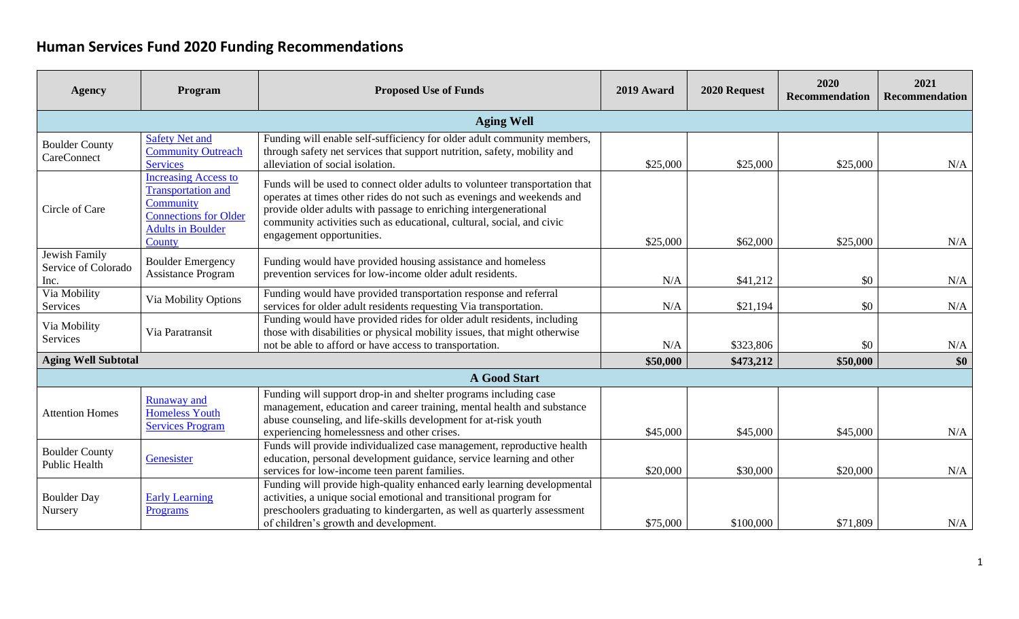## **Human Services Fund 2020 Funding Recommendations**

| <b>Agency</b>                                | Program                                                                                                                                     | <b>Proposed Use of Funds</b>                                                                                                                                                                                                                                                                                                    | 2019 Award | 2020 Request | 2020<br><b>Recommendation</b> | 2021<br><b>Recommendation</b> |
|----------------------------------------------|---------------------------------------------------------------------------------------------------------------------------------------------|---------------------------------------------------------------------------------------------------------------------------------------------------------------------------------------------------------------------------------------------------------------------------------------------------------------------------------|------------|--------------|-------------------------------|-------------------------------|
|                                              |                                                                                                                                             | <b>Aging Well</b>                                                                                                                                                                                                                                                                                                               |            |              |                               |                               |
| <b>Boulder County</b><br>CareConnect         | <b>Safety Net and</b><br><b>Community Outreach</b><br><b>Services</b>                                                                       | Funding will enable self-sufficiency for older adult community members,<br>through safety net services that support nutrition, safety, mobility and<br>alleviation of social isolation.                                                                                                                                         | \$25,000   | \$25,000     | \$25,000                      | N/A                           |
| Circle of Care                               | <b>Increasing Access to</b><br><b>Transportation and</b><br>Community<br><b>Connections for Older</b><br><b>Adults in Boulder</b><br>County | Funds will be used to connect older adults to volunteer transportation that<br>operates at times other rides do not such as evenings and weekends and<br>provide older adults with passage to enriching intergenerational<br>community activities such as educational, cultural, social, and civic<br>engagement opportunities. | \$25,000   | \$62,000     | \$25,000                      | N/A                           |
| Jewish Family<br>Service of Colorado<br>Inc. | <b>Boulder Emergency</b><br><b>Assistance Program</b>                                                                                       | Funding would have provided housing assistance and homeless<br>prevention services for low-income older adult residents.                                                                                                                                                                                                        | N/A        | \$41,212     | \$0                           | N/A                           |
| Via Mobility<br>Services                     | Via Mobility Options                                                                                                                        | Funding would have provided transportation response and referral<br>services for older adult residents requesting Via transportation.                                                                                                                                                                                           | N/A        | \$21,194     | \$0                           | N/A                           |
| Via Mobility<br>Services                     | Via Paratransit                                                                                                                             | Funding would have provided rides for older adult residents, including<br>those with disabilities or physical mobility issues, that might otherwise<br>not be able to afford or have access to transportation.                                                                                                                  | N/A        | \$323,806    | \$0                           | N/A                           |
| <b>Aging Well Subtotal</b>                   |                                                                                                                                             |                                                                                                                                                                                                                                                                                                                                 | \$50,000   | \$473,212    | \$50,000                      | \$0                           |
|                                              |                                                                                                                                             | <b>A Good Start</b>                                                                                                                                                                                                                                                                                                             |            |              |                               |                               |
| <b>Attention Homes</b>                       | Runaway and<br><b>Homeless Youth</b><br><b>Services Program</b>                                                                             | Funding will support drop-in and shelter programs including case<br>management, education and career training, mental health and substance<br>abuse counseling, and life-skills development for at-risk youth<br>experiencing homelessness and other crises.                                                                    | \$45,000   | \$45,000     | \$45,000                      | N/A                           |
| <b>Boulder County</b><br>Public Health       | Genesister                                                                                                                                  | Funds will provide individualized case management, reproductive health<br>education, personal development guidance, service learning and other<br>services for low-income teen parent families.                                                                                                                                 | \$20,000   | \$30,000     | \$20,000                      | N/A                           |
| <b>Boulder Day</b><br>Nursery                | <b>Early Learning</b><br><b>Programs</b>                                                                                                    | Funding will provide high-quality enhanced early learning developmental<br>activities, a unique social emotional and transitional program for<br>preschoolers graduating to kindergarten, as well as quarterly assessment<br>of children's growth and development.                                                              | \$75,000   | \$100,000    | \$71,809                      | N/A                           |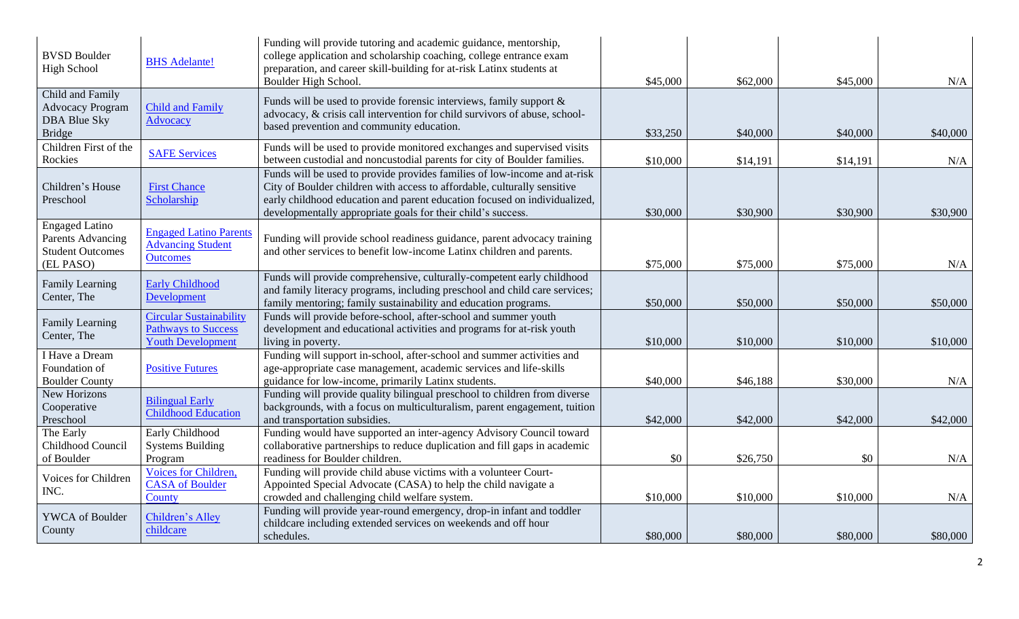| <b>BVSD Boulder</b><br><b>High School</b>                                           | <b>BHS</b> Adelante!                                                                     | Funding will provide tutoring and academic guidance, mentorship,<br>college application and scholarship coaching, college entrance exam<br>preparation, and career skill-building for at-risk Latinx students at<br>Boulder High School.                                                           | \$45,000 | \$62,000 | \$45,000 | N/A      |
|-------------------------------------------------------------------------------------|------------------------------------------------------------------------------------------|----------------------------------------------------------------------------------------------------------------------------------------------------------------------------------------------------------------------------------------------------------------------------------------------------|----------|----------|----------|----------|
| Child and Family<br><b>Advocacy Program</b><br><b>DBA Blue Sky</b><br><b>Bridge</b> | <b>Child and Family</b><br>Advocacy                                                      | Funds will be used to provide forensic interviews, family support $\&$<br>advocacy, & crisis call intervention for child survivors of abuse, school-<br>based prevention and community education.                                                                                                  | \$33,250 | \$40,000 | \$40,000 | \$40,000 |
| Children First of the<br>Rockies                                                    | <b>SAFE Services</b>                                                                     | Funds will be used to provide monitored exchanges and supervised visits<br>between custodial and noncustodial parents for city of Boulder families.                                                                                                                                                | \$10,000 | \$14,191 | \$14,191 | N/A      |
| Children's House<br>Preschool                                                       | <b>First Chance</b><br>Scholarship                                                       | Funds will be used to provide provides families of low-income and at-risk<br>City of Boulder children with access to affordable, culturally sensitive<br>early childhood education and parent education focused on individualized,<br>developmentally appropriate goals for their child's success. | \$30,000 | \$30,900 | \$30,900 | \$30,900 |
| <b>Engaged Latino</b><br>Parents Advancing<br><b>Student Outcomes</b><br>(EL PASO)  | <b>Engaged Latino Parents</b><br><b>Advancing Student</b><br><b>Outcomes</b>             | Funding will provide school readiness guidance, parent advocacy training<br>and other services to benefit low-income Latinx children and parents.                                                                                                                                                  | \$75,000 | \$75,000 | \$75,000 | N/A      |
| Family Learning<br>Center, The                                                      | <b>Early Childhood</b><br>Development                                                    | Funds will provide comprehensive, culturally-competent early childhood<br>and family literacy programs, including preschool and child care services;<br>family mentoring; family sustainability and education programs.                                                                            | \$50,000 | \$50,000 | \$50,000 | \$50,000 |
| Family Learning<br>Center, The                                                      | <b>Circular Sustainability</b><br><b>Pathways to Success</b><br><b>Youth Development</b> | Funds will provide before-school, after-school and summer youth<br>development and educational activities and programs for at-risk youth<br>living in poverty.                                                                                                                                     | \$10,000 | \$10,000 | \$10,000 | \$10,000 |
| I Have a Dream<br>Foundation of<br><b>Boulder County</b>                            | <b>Positive Futures</b>                                                                  | Funding will support in-school, after-school and summer activities and<br>age-appropriate case management, academic services and life-skills<br>guidance for low-income, primarily Latinx students.                                                                                                | \$40,000 | \$46,188 | \$30,000 | N/A      |
| New Horizons<br>Cooperative<br>Preschool                                            | <b>Bilingual Early</b><br><b>Childhood Education</b>                                     | Funding will provide quality bilingual preschool to children from diverse<br>backgrounds, with a focus on multiculturalism, parent engagement, tuition<br>and transportation subsidies.                                                                                                            | \$42,000 | \$42,000 | \$42,000 | \$42,000 |
| The Early<br>Childhood Council<br>of Boulder                                        | Early Childhood<br><b>Systems Building</b><br>Program                                    | Funding would have supported an inter-agency Advisory Council toward<br>collaborative partnerships to reduce duplication and fill gaps in academic<br>readiness for Boulder children.                                                                                                              | \$0      | \$26,750 | \$0      | N/A      |
| Voices for Children<br>INC.                                                         | Voices for Children,<br><b>CASA</b> of Boulder<br>County                                 | Funding will provide child abuse victims with a volunteer Court-<br>Appointed Special Advocate (CASA) to help the child navigate a<br>crowded and challenging child welfare system.                                                                                                                | \$10,000 | \$10,000 | \$10,000 | N/A      |
| YWCA of Boulder<br>County                                                           | Children's Alley<br>childcare                                                            | Funding will provide year-round emergency, drop-in infant and toddler<br>childcare including extended services on weekends and off hour<br>schedules.                                                                                                                                              | \$80,000 | \$80,000 | \$80,000 | \$80,000 |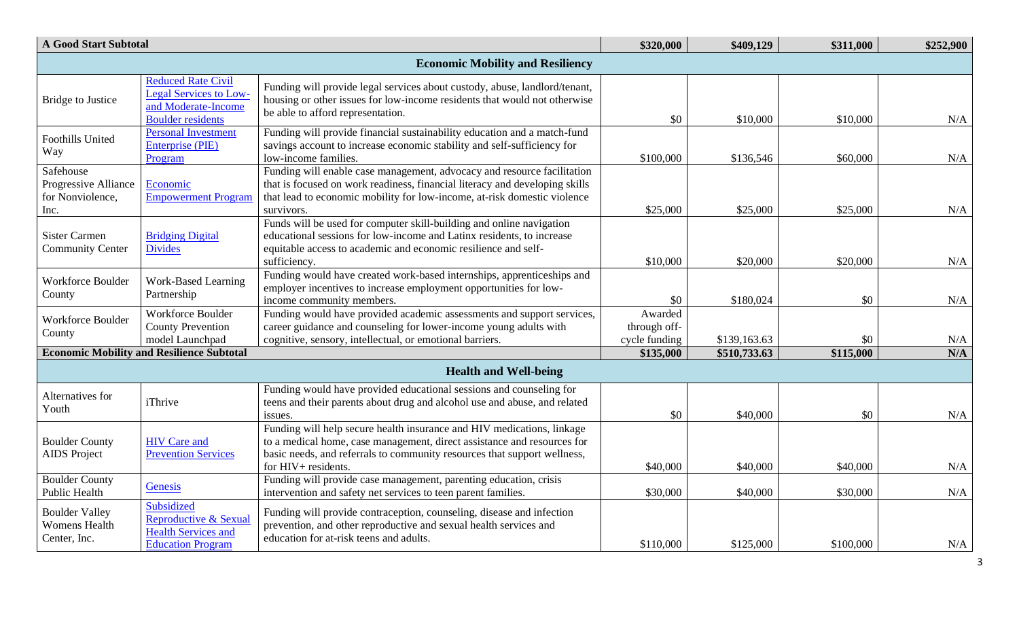| <b>A Good Start Subtotal</b>                                  |                                                                                                        |                                                                                                                                                                                                                                                      | \$320,000                                | \$409,129    | \$311,000 | \$252,900 |
|---------------------------------------------------------------|--------------------------------------------------------------------------------------------------------|------------------------------------------------------------------------------------------------------------------------------------------------------------------------------------------------------------------------------------------------------|------------------------------------------|--------------|-----------|-----------|
|                                                               |                                                                                                        | <b>Economic Mobility and Resiliency</b>                                                                                                                                                                                                              |                                          |              |           |           |
| <b>Bridge to Justice</b>                                      | Reduced Rate Civil<br><b>Legal Services to Low-</b><br>and Moderate-Income<br><b>Boulder residents</b> | Funding will provide legal services about custody, abuse, landlord/tenant,<br>housing or other issues for low-income residents that would not otherwise<br>be able to afford representation.                                                         | \$0                                      | \$10,000     | \$10,000  | N/A       |
| <b>Foothills United</b><br>Way                                | <b>Personal Investment</b><br><b>Enterprise (PIE)</b><br>Program                                       | Funding will provide financial sustainability education and a match-fund<br>savings account to increase economic stability and self-sufficiency for<br>low-income families.                                                                          | \$100,000                                | \$136,546    | \$60,000  | N/A       |
| Safehouse<br>Progressive Alliance<br>for Nonviolence,<br>Inc. | Economic<br><b>Empowerment Program</b>                                                                 | Funding will enable case management, advocacy and resource facilitation<br>that is focused on work readiness, financial literacy and developing skills<br>that lead to economic mobility for low-income, at-risk domestic violence<br>survivors.     | \$25,000                                 | \$25,000     | \$25,000  | N/A       |
| <b>Sister Carmen</b><br><b>Community Center</b>               | <b>Bridging Digital</b><br><b>Divides</b>                                                              | Funds will be used for computer skill-building and online navigation<br>educational sessions for low-income and Latinx residents, to increase<br>equitable access to academic and economic resilience and self-<br>sufficiency.                      | \$10,000                                 | \$20,000     | \$20,000  | $\rm N/A$ |
| <b>Workforce Boulder</b><br>County                            | <b>Work-Based Learning</b><br>Partnership                                                              | Funding would have created work-based internships, apprenticeships and<br>employer incentives to increase employment opportunities for low-<br>income community members.                                                                             | \$0                                      | \$180,024    | \$0       | N/A       |
| Workforce Boulder<br>County                                   | Workforce Boulder<br><b>County Prevention</b><br>model Launchpad                                       | Funding would have provided academic assessments and support services,<br>career guidance and counseling for lower-income young adults with<br>cognitive, sensory, intellectual, or emotional barriers.                                              | Awarded<br>through off-<br>cycle funding | \$139,163.63 | \$0       | N/A       |
| <b>Economic Mobility and Resilience Subtotal</b>              |                                                                                                        |                                                                                                                                                                                                                                                      | \$135,000                                | \$510,733.63 | \$115,000 | N/A       |
|                                                               |                                                                                                        | <b>Health and Well-being</b>                                                                                                                                                                                                                         |                                          |              |           |           |
| Alternatives for<br>Youth                                     | iThrive                                                                                                | Funding would have provided educational sessions and counseling for<br>teens and their parents about drug and alcohol use and abuse, and related<br>issues.                                                                                          | \$0                                      | \$40,000     | \$0       | N/A       |
| <b>Boulder County</b><br><b>AIDS</b> Project                  | <b>HIV</b> Care and<br><b>Prevention Services</b>                                                      | Funding will help secure health insurance and HIV medications, linkage<br>to a medical home, case management, direct assistance and resources for<br>basic needs, and referrals to community resources that support wellness,<br>for HIV+ residents. | \$40,000                                 | \$40,000     | \$40,000  | N/A       |
| <b>Boulder County</b><br><b>Public Health</b>                 | Genesis                                                                                                | Funding will provide case management, parenting education, crisis<br>intervention and safety net services to teen parent families.                                                                                                                   | \$30,000                                 | \$40,000     | \$30,000  | $\rm N/A$ |
| <b>Boulder Valley</b><br><b>Womens Health</b><br>Center, Inc. | Subsidized<br>Reproductive & Sexual<br><b>Health Services and</b><br><b>Education Program</b>          | Funding will provide contraception, counseling, disease and infection<br>prevention, and other reproductive and sexual health services and<br>education for at-risk teens and adults.                                                                | \$110,000                                | \$125,000    | \$100,000 | N/A       |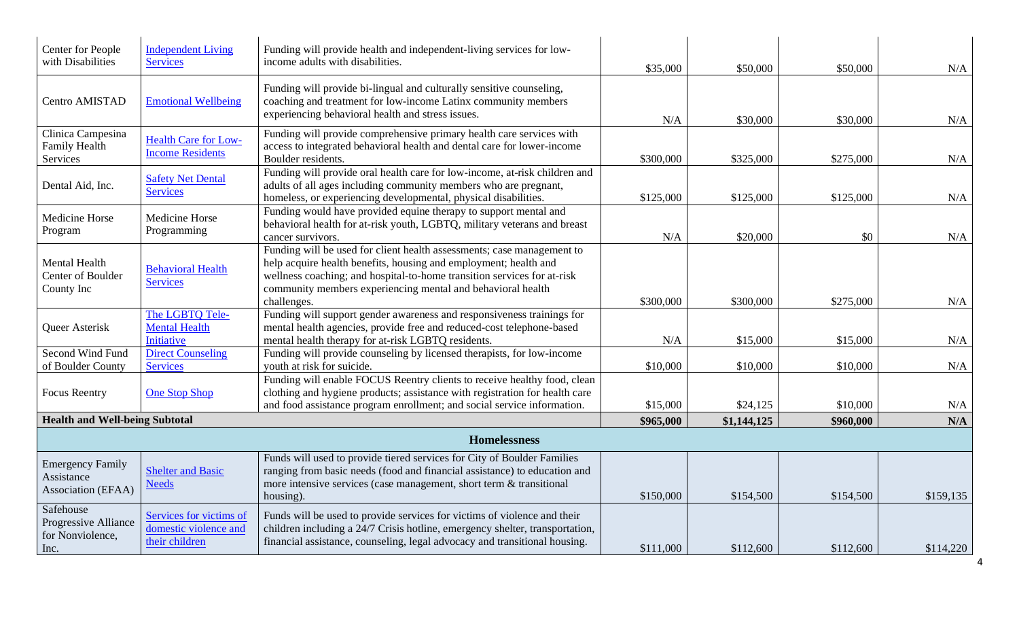| Center for People<br>with Disabilities                        | <b>Independent Living</b><br><b>Services</b>                       | Funding will provide health and independent-living services for low-<br>income adults with disabilities.                                                                                                                                                                                            | \$35,000  | \$50,000    | \$50,000  | N/A       |
|---------------------------------------------------------------|--------------------------------------------------------------------|-----------------------------------------------------------------------------------------------------------------------------------------------------------------------------------------------------------------------------------------------------------------------------------------------------|-----------|-------------|-----------|-----------|
| Centro AMISTAD                                                | <b>Emotional Wellbeing</b>                                         | Funding will provide bi-lingual and culturally sensitive counseling,<br>coaching and treatment for low-income Latinx community members<br>experiencing behavioral health and stress issues.                                                                                                         | N/A       | \$30,000    | \$30,000  | N/A       |
| Clinica Campesina<br>Family Health<br>Services                | <b>Health Care for Low-</b><br><b>Income Residents</b>             | Funding will provide comprehensive primary health care services with<br>access to integrated behavioral health and dental care for lower-income<br>Boulder residents.                                                                                                                               | \$300,000 | \$325,000   | \$275,000 | N/A       |
| Dental Aid, Inc.                                              | <b>Safety Net Dental</b><br><b>Services</b>                        | Funding will provide oral health care for low-income, at-risk children and<br>adults of all ages including community members who are pregnant,<br>homeless, or experiencing developmental, physical disabilities.                                                                                   | \$125,000 | \$125,000   | \$125,000 | N/A       |
| Medicine Horse<br>Program                                     | Medicine Horse<br>Programming                                      | Funding would have provided equine therapy to support mental and<br>behavioral health for at-risk youth, LGBTQ, military veterans and breast<br>cancer survivors.                                                                                                                                   | N/A       | \$20,000    | \$0       | N/A       |
| Mental Health<br>Center of Boulder<br>County Inc              | <b>Behavioral Health</b><br><b>Services</b>                        | Funding will be used for client health assessments; case management to<br>help acquire health benefits, housing and employment; health and<br>wellness coaching; and hospital-to-home transition services for at-risk<br>community members experiencing mental and behavioral health<br>challenges. | \$300,000 | \$300,000   | \$275,000 | N/A       |
| Queer Asterisk                                                | The LGBTQ Tele-<br><b>Mental Health</b><br>Initiative              | Funding will support gender awareness and responsiveness trainings for<br>mental health agencies, provide free and reduced-cost telephone-based<br>mental health therapy for at-risk LGBTQ residents.                                                                                               | N/A       | \$15,000    | \$15,000  | N/A       |
| Second Wind Fund<br>of Boulder County                         | <b>Direct Counseling</b><br><b>Services</b>                        | Funding will provide counseling by licensed therapists, for low-income<br>youth at risk for suicide.                                                                                                                                                                                                | \$10,000  | \$10,000    | \$10,000  | N/A       |
| <b>Focus Reentry</b>                                          | <b>One Stop Shop</b>                                               | Funding will enable FOCUS Reentry clients to receive healthy food, clean<br>clothing and hygiene products; assistance with registration for health care<br>and food assistance program enrollment; and social service information.                                                                  | \$15,000  | \$24,125    | \$10,000  | N/A       |
| <b>Health and Well-being Subtotal</b>                         |                                                                    |                                                                                                                                                                                                                                                                                                     | \$965,000 | \$1,144,125 | \$960,000 | N/A       |
| <b>Homelessness</b>                                           |                                                                    |                                                                                                                                                                                                                                                                                                     |           |             |           |           |
| <b>Emergency Family</b><br>Assistance<br>Association (EFAA)   | <b>Shelter and Basic</b><br><b>Needs</b>                           | Funds will used to provide tiered services for City of Boulder Families<br>ranging from basic needs (food and financial assistance) to education and<br>more intensive services (case management, short term & transitional<br>housing).                                                            | \$150,000 | \$154,500   | \$154,500 | \$159,135 |
| Safehouse<br>Progressive Alliance<br>for Nonviolence,<br>Inc. | Services for victims of<br>domestic violence and<br>their children | Funds will be used to provide services for victims of violence and their<br>children including a 24/7 Crisis hotline, emergency shelter, transportation,<br>financial assistance, counseling, legal advocacy and transitional housing.                                                              | \$111,000 | \$112,600   | \$112,600 | \$114,220 |